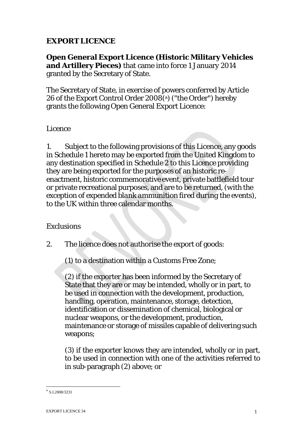### **EXPORT LICENCE**

**Open General Export Licence (Historic Military Vehicles and Artillery Pieces)** that came into force 1 January 2014 granted by the Secretary of State.

The Secretary of State, in exercise of powers conferred by Article 26 of the Export Control Order 2008(a) ("the Order") hereby grants the following Open General Export Licence:

#### *Licence*

1. Subject to the following provisions of this Licence, any goods in Schedule 1 hereto may be exported from the United Kingdom to any destination specified in Schedule 2 to this Licence providing they are being exported for the purposes of an historic reenactment, historic commemorative event, private battlefield tour or private recreational purposes, and are to be returned, *(with the exception of expended blank ammunition fired during the events)*, to the UK within three calendar months.

#### *Exclusions*

2. The licence does not authorise the export of goods:

(1) to a destination within a Customs Free Zone;

(2) if the exporter has been informed by the Secretary of State that they are or may be intended, wholly or in part, to be used in connection with the development, production, handling, operation, maintenance, storage, detection, identification or dissemination of chemical, biological or nuclear weapons, or the development, production, maintenance or storage of missiles capable of delivering such weapons;

(3) if the exporter knows they are intended, wholly or in part, to be used in connection with one of the activities referred to in sub-paragraph (2) above; or

 $a$  S.I.2008/3231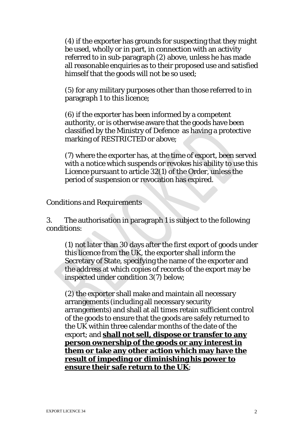(4) if the exporter has grounds for suspecting that they might be used, wholly or in part, in connection with an activity referred to in sub-paragraph (2) above, unless he has made all reasonable enquiries as to their proposed use and satisfied himself that the goods will not be so used;

(5) for any military purposes other than those referred to in paragraph 1 to this licence;

(6) if the exporter has been informed by a competent authority, or is otherwise aware that the goods have been classified by the Ministry of Defence as having a protective marking of RESTRICTED or above;

(7) where the exporter has, at the time of export, been served with a notice which suspends or revokes his ability to use this Licence pursuant to article 32(1) of the Order, unless the period of suspension or revocation has expired.

#### *Conditions and Requirements*

3. The authorisation in paragraph 1 is subject to the following conditions:

(1) not later than 30 days after the first export of goods under this licence from the UK, the exporter shall inform the Secretary of State, specifying the name of the exporter and the address at which copies of records of the export may be inspected under condition 3(7) below;

(2) the exporter shall make and maintain all necessary arrangements (including all necessary security arrangements) and shall at all times retain sufficient control of the goods to ensure that the goods are safely returned to the UK within three calendar months of the date of the export; and **shall not sell, dispose or transfer to any person ownership of the goods or any interest in them or take any other action which may have the result of impeding or diminishing his power to ensure their safe return to the UK**;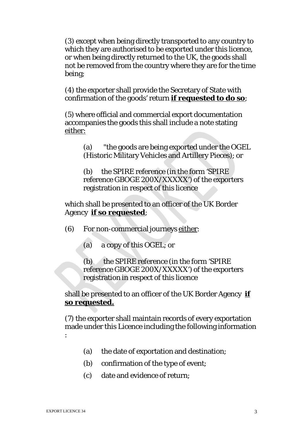(3) except when being directly transported to any country to which they are authorised to be exported under this licence, or when being directly returned to the UK, the goods shall not be removed from the country where they are for the time being;

(4) the exporter shall provide the Secretary of State with confirmation of the goods' return **if requested to do so**;

(5) where official and commercial export documentation accompanies the goods this shall include a note stating either:

> (a) "the goods are being exported under the OGEL (Historic Military Vehicles and Artillery Pieces); or

(b) the SPIRE reference (in the form 'SPIRE reference GBOGE 200X/XXXXX') of the exporters registration in respect of this licence

which shall be presented to an officer of the UK Border Agency **if so requested**;

(6) For non-commercial journeys either:

(a) a copy of this OGEL; or

(b) the SPIRE reference (in the form 'SPIRE reference GBOGE 200X/XXXXX') of the exporters registration in respect of this licence

shall be presented to an officer of the UK Border Agency **if so requested.**

(7) the exporter shall maintain records of every exportation made under this Licence including the following information :

- (a) the date of exportation and destination;
- (b) confirmation of the type of event;
- (c) date and evidence of return;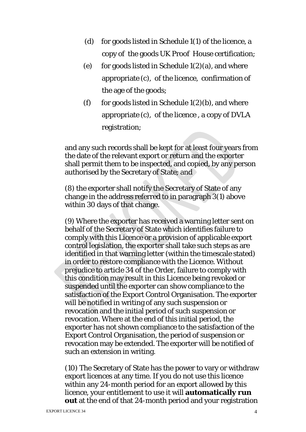- (d) for goods listed in Schedule 1(1) of the licence, a copy of the goods UK Proof House certification;
- (e) for goods listed in Schedule  $1(2)(a)$ , and where appropriate (c), of the licence, confirmation of the age of the goods;
- (f) for goods listed in Schedule  $1(2)(b)$ , and where appropriate (c), of the licence , a copy of DVLA registration;

and any such records shall be kept for at least four years from the date of the relevant export or return and the exporter shall permit them to be inspected, and copied, by any person authorised by the Secretary of State; and

(8) the exporter shall notify the Secretary of State of any change in the address referred to in paragraph 3(1) above within 30 days of that change.

(9) Where the exporter has received a warning letter sent on behalf of the Secretary of State which identifies failure to comply with this Licence or a provision of applicable export control legislation, the exporter shall take such steps as are identified in that warning letter (within the timescale stated) in order to restore compliance with the Licence. Without prejudice to article 34 of the Order, failure to comply with this condition may result in this Licence being revoked or suspended until the exporter can show compliance to the satisfaction of the Export Control Organisation. The exporter will be notified in writing of any such suspension or revocation and the initial period of such suspension or revocation. Where at the end of this initial period, the exporter has not shown compliance to the satisfaction of the Export Control Organisation, the period of suspension or revocation may be extended. The exporter will be notified of such an extension in writing.

(10) The Secretary of State has the power to vary or withdraw export licences at any time. If you do not use this licence within any 24-month period for an export allowed by this licence, your entitlement to use it will **automatically run out** at the end of that 24-month period and your registration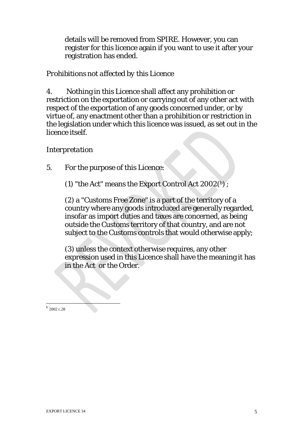details will be removed from SPIRE. However, you can register for this licence again if you want to use it after your registration has ended.

### *Prohibitions not affected by this Licence*

4. Nothing in this Licence shall affect any prohibition or restriction on the exportation or carrying out of any other act with respect of the exportation of any goods concerned under, or by virtue of, any enactment other than a prohibition or restriction in the legislation under which this licence was issued, as set out in the licence itself.

### *Interpretation*

5. For the purpose of this Licence:

(1) "the Act" means the Export Control Act  $2002^{b}$  ;

(2) a "Customs Free Zone" is a part of the territory of a country where any goods introduced are generally regarded, insofar as import duties and taxes are concerned, as being outside the Customs territory of that country, and are not subject to the Customs controls that would otherwise apply:

(3) unless the context otherwise requires, any other expression used in this Licence shall have the meaning it has in the Act or the Order.

 $<sup>b</sup>$  2002 c.28</sup>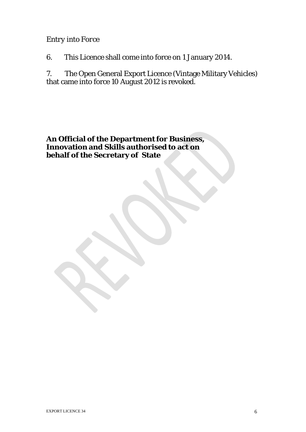### *Entry into Force*

6. This Licence shall come into force on 1 January 2014.

7. The Open General Export Licence (Vintage Military Vehicles) that came into force 10 August 2012 is revoked.

An **Official** of the Department for Business, **Innovation and Skills authorised to act on behalf of the Secretary of State**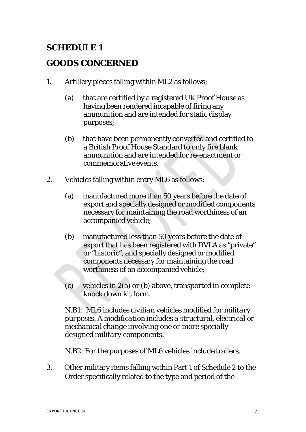# **SCHEDULE 1**

# **GOODS CONCERNED**

- 1. Artillery pieces falling within ML2 as follows;
	- (a) that are certified by a registered UK Proof House as having been rendered incapable of firing any ammunition and are intended for static display purposes;
	- (b) that have been permanently converted and certified to a British Proof House Standard to only fire blank ammunition and are intended for re-enactment or commemorative events.
- 2. Vehicles falling within entry ML6 as follows;
	- (a) manufactured more than 50 years before the date of export and specially designed or modified components necessary for maintaining the road worthiness of an accompanied vehicle;
	- (b) manufactured less than 50 years before the date of export that has been registered with DVLA as "private" or "historic", and specially designed or modified components necessary for maintaining the road worthiness of an accompanied vehicle;
	- (c) vehicles in 2(a) or (b) above, transported in complete knock down kit form.

*N.B1: ML6 includes civilian vehicles modified for military purposes. A modification includes a structural, electrical or mechanical change involving one or more specially designed military components.*

N.B2: For the purposes of ML6 vehicles include trailers.

3. Other military items falling within Part 1 of Schedule 2 to the Order specifically related to the type and period of the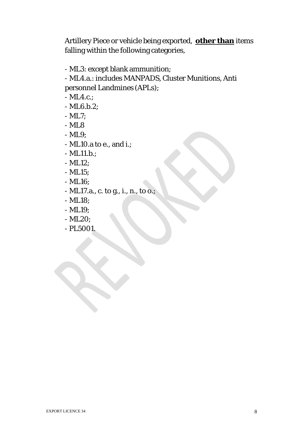Artillery Piece or vehicle being exported, **other than** items falling within the following categories,

- ML3: except blank ammunition;
- ML4.a.: includes MANPADS, Cluster Munitions, Anti personnel Landmines (APLs);
- ML4.c.;
- ML6.b.2;
- ML7;
- ML8
- ML9;
- ML10.a to e., and i.;
- ML11.b.;
- ML12;
- ML15;
- ML16;
- ML17.a., c. to g., i., n., to o.;
- ML18;
- ML19;
- ML20;
- PL5001.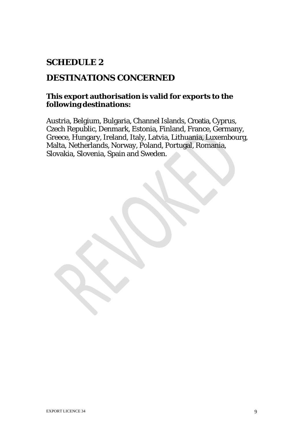# **SCHEDULE 2**

### **DESTINATIONS CONCERNED**

### **This export authorisation is valid for exports to the following destinations:**

Austria, Belgium, Bulgaria, Channel Islands, Croatia, Cyprus, Czech Republic, Denmark, Estonia, Finland, France, Germany, Greece, Hungary, Ireland, Italy, Latvia, Lithuania, Luxembourg, Malta, Netherlands, Norway*,* Poland, Portugal, Romania, Slovakia, Slovenia, Spain and Sweden.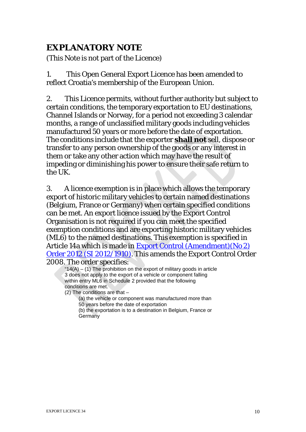# **EXPLANATORY NOTE**

(This Note is not part of the Licence)

1. This Open General Export Licence has been amended to reflect Croatia's membership of the European Union.

2. This Licence permits, without further authority but subject to certain conditions, the temporary exportation to EU destinations, Channel Islands or Norway, for a period not exceeding 3 calendar months, a range of unclassified military goods including vehicles manufactured 50 years or more before the date of exportation. The conditions include that the exporter **shall not** sell, dispose or transfer to any person ownership of the goods or any interest in them or take any other action which may have the result of impeding or diminishing his power to ensure their safe return to the UK.

3. A licence exemption is in place which allows the temporary export of historic military vehicles to certain named destinations (Belgium, France or Germany) when certain specified conditions can be met. An export licence issued by the Export Control Organisation is not required if you can meet the specified exemption conditions and are exporting historic military vehicles (ML6) to the named destinations. This exemption is specified in Article 14a which is made in Export Control [\(Amendment\)\(No](http://www.legislation.gov.uk/uksi/2012/1910/contents/made) 2) Order 2012 (SI [2012/1910\).](http://www.legislation.gov.uk/uksi/2012/1910/contents/made) This amends the Export Control Order 2008. The order specifies:

" $14(A) - (1)$  The prohibition on the export of military goods in article 3 does not apply to the export of a vehicle or component falling within entry ML6 in Schedule 2 provided that the following conditions are met.

(2) The conditions are that –

(a) the vehicle or component was manufactured more than 50 years before the date of exportation

(b) the exportation is to a destination in Belgium, France or **Germany**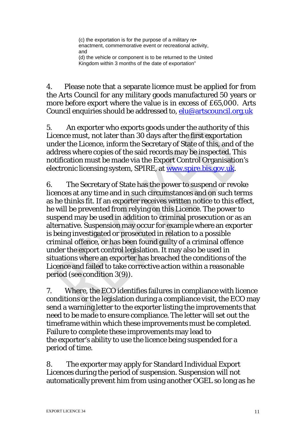(c) the exportation is for the purpose of a military re• enactment, commemorative event or recreational activity, and

(d) the vehicle or component is to be returned to the United Kingdom within 3 months of the date of exportation"

4. Please note that a separate licence must be applied for from the Arts Council for any military goods manufactured 50 years or more before export where the value is in excess of £65,000. Arts Council enquiries should be addressed to, [elu@artscouncil.org.uk](mailto:elu@artscouncil.org.uk)

5. An exporter who exports goods under the authority of this Licence must, not later than 30 days after the first exportation under the Licence, inform the Secretary of State of this, and of the address where copies of the said records may be inspected. This notification must be made via the Export Control Organisation's electronic licensing system, SPIRE, at [www.spire.bis.gov.uk.](http://www.spire.bis.gov.uk/)

6. The Secretary of State has the power to suspend or revoke licences at any time and in such circumstances and on such terms as he thinks fit. If an exporter receives written notice to this effect, he will be prevented from relying on this Licence. The power to suspend may be used in addition to criminal prosecution or as an alternative. Suspension may occur for example where an exporter is being investigated or prosecuted in relation to a possible criminal offence, or has been found guilty of a criminal offence under the export control legislation.It may also be used in situations where an exporter has breached the conditions of the Licence and failed to take corrective action within a reasonable period (see condition 3(9)).

7. Where, the ECO identifies failures in compliance with licence conditions or the legislation during a compliance visit, the ECO may send a warning letter to the exporter listing the improvements that need to be made to ensure compliance. The letter will set out the timeframe within which these improvements must be completed. Failure to complete these improvements may lead to the exporter's ability to use the licence being suspended for a period of time.

8. The exporter may apply for Standard Individual Export Licences during the period of suspension. Suspension will not automatically prevent him from using another OGEL so long as he